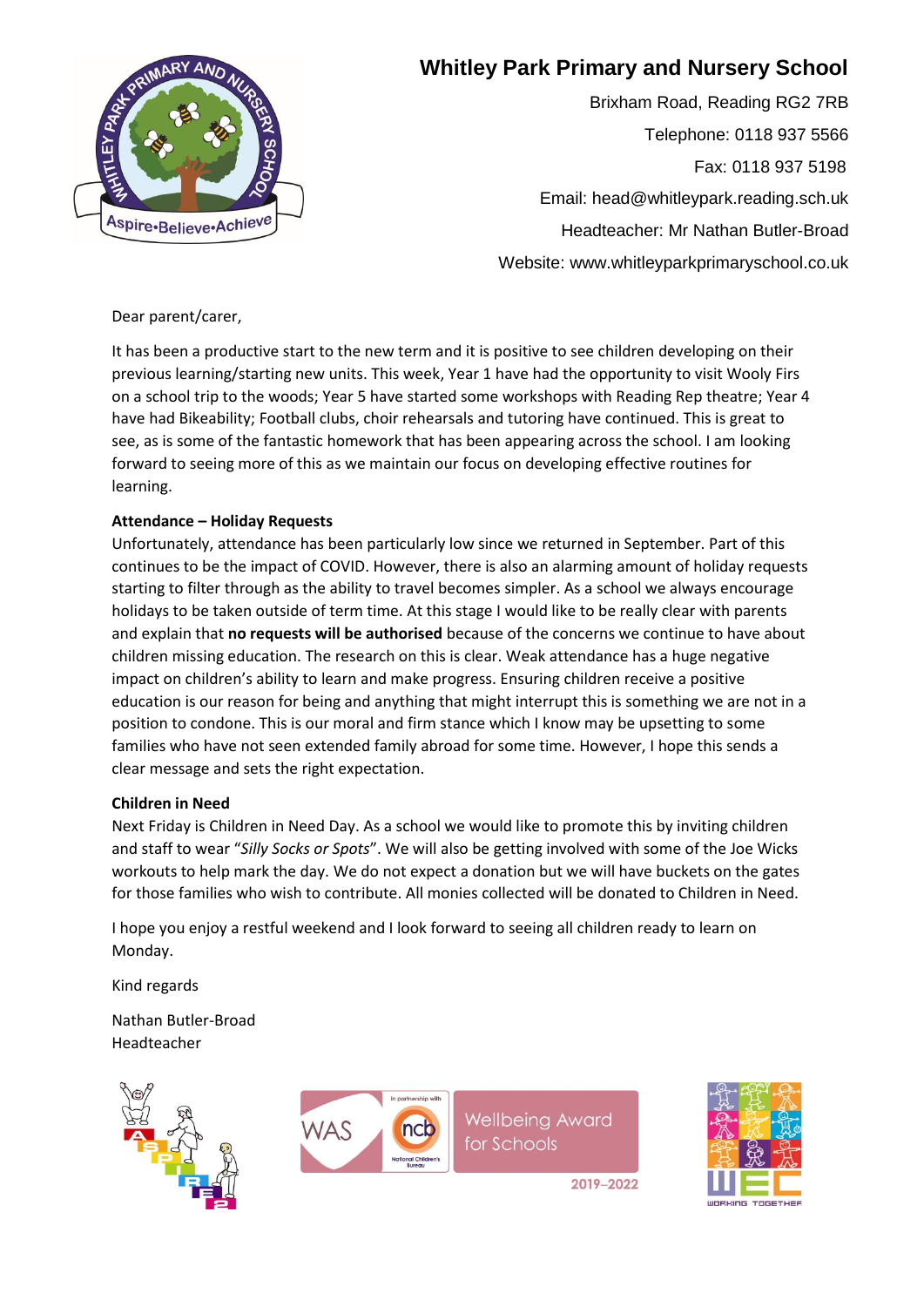

## **Whitley Park Primary and Nursery School**

Brixham Road, Reading RG2 7RB Telephone: 0118 937 5566 Fax: 0118 937 5198 Email: head@whitleypark.reading.sch.uk Headteacher: Mr Nathan Butler-Broad Website: www.whitleyparkprimaryschool.co.uk

Dear parent/carer,

It has been a productive start to the new term and it is positive to see children developing on their previous learning/starting new units. This week, Year 1 have had the opportunity to visit Wooly Firs on a school trip to the woods; Year 5 have started some workshops with Reading Rep theatre; Year 4 have had Bikeability; Football clubs, choir rehearsals and tutoring have continued. This is great to see, as is some of the fantastic homework that has been appearing across the school. I am looking forward to seeing more of this as we maintain our focus on developing effective routines for learning.

## **Attendance – Holiday Requests**

Unfortunately, attendance has been particularly low since we returned in September. Part of this continues to be the impact of COVID. However, there is also an alarming amount of holiday requests starting to filter through as the ability to travel becomes simpler. As a school we always encourage holidays to be taken outside of term time. At this stage I would like to be really clear with parents and explain that **no requests will be authorised** because of the concerns we continue to have about children missing education. The research on this is clear. Weak attendance has a huge negative impact on children's ability to learn and make progress. Ensuring children receive a positive education is our reason for being and anything that might interrupt this is something we are not in a position to condone. This is our moral and firm stance which I know may be upsetting to some families who have not seen extended family abroad for some time. However, I hope this sends a clear message and sets the right expectation.

## **Children in Need**

Next Friday is Children in Need Day. As a school we would like to promote this by inviting children and staff to wear "*Silly Socks or Spots*". We will also be getting involved with some of the Joe Wicks workouts to help mark the day. We do not expect a donation but we will have buckets on the gates for those families who wish to contribute. All monies collected will be donated to Children in Need.

I hope you enjoy a restful weekend and I look forward to seeing all children ready to learn on Monday.

Kind regards

Nathan Butler-Broad Headteacher





**Wellbeing Award** for Schools

2019-2022